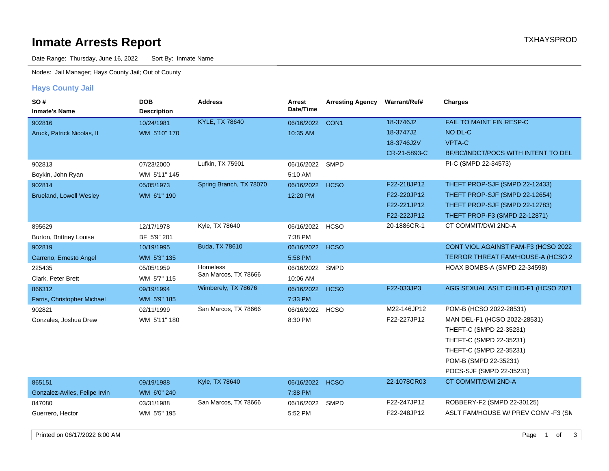# **Inmate Arrests Report TXHAYSPROD Inmate Arrests Report**

Date Range: Thursday, June 16, 2022 Sort By: Inmate Name

Nodes: Jail Manager; Hays County Jail; Out of County

### **Hays County Jail**

| SO#<br><b>Inmate's Name</b>    | <b>DOB</b><br><b>Description</b> | <b>Address</b>          | Arrest<br>Date/Time | <b>Arresting Agency</b> | Warrant/Ref# | <b>Charges</b>                      |
|--------------------------------|----------------------------------|-------------------------|---------------------|-------------------------|--------------|-------------------------------------|
| 902816                         | 10/24/1981                       | <b>KYLE, TX 78640</b>   | 06/16/2022          | CON <sub>1</sub>        | 18-3746J2    | FAIL TO MAINT FIN RESP-C            |
| Aruck, Patrick Nicolas, II     | WM 5'10" 170                     |                         | 10:35 AM            |                         | 18-3747J2    | NO DL-C                             |
|                                |                                  |                         |                     |                         | 18-3746J2V   | <b>VPTA-C</b>                       |
|                                |                                  |                         |                     |                         | CR-21-5893-C | BF/BC/INDCT/POCS WITH INTENT TO DEL |
| 902813                         | 07/23/2000                       | Lufkin, TX 75901        | 06/16/2022          | <b>SMPD</b>             |              | PI-C (SMPD 22-34573)                |
| Boykin, John Ryan              | WM 5'11" 145                     |                         | 5:10 AM             |                         |              |                                     |
| 902814                         | 05/05/1973                       | Spring Branch, TX 78070 | 06/16/2022          | <b>HCSO</b>             | F22-218JP12  | THEFT PROP-SJF (SMPD 22-12433)      |
| <b>Brueland, Lowell Wesley</b> | WM 6'1" 190                      |                         | 12:20 PM            |                         | F22-220JP12  | THEFT PROP-SJF (SMPD 22-12654)      |
|                                |                                  |                         |                     |                         | F22-221JP12  | THEFT PROP-SJF (SMPD 22-12783)      |
|                                |                                  |                         |                     |                         | F22-222JP12  | THEFT PROP-F3 (SMPD 22-12871)       |
| 895629                         | 12/17/1978                       | Kyle, TX 78640          | 06/16/2022 HCSO     |                         | 20-1886CR-1  | CT COMMIT/DWI 2ND-A                 |
| Burton, Brittney Louise        | BF 5'9" 201                      |                         | 7:38 PM             |                         |              |                                     |
| 902819                         | 10/19/1995                       | Buda, TX 78610          | 06/16/2022          | <b>HCSO</b>             |              | CONT VIOL AGAINST FAM-F3 (HCSO 2022 |
| Carreno, Ernesto Angel         | WM 5'3" 135                      |                         | 5:58 PM             |                         |              | TERROR THREAT FAM/HOUSE-A (HCSO 2   |
| 225435                         | 05/05/1959                       | <b>Homeless</b>         | 06/16/2022          | <b>SMPD</b>             |              | HOAX BOMBS-A (SMPD 22-34598)        |
| Clark, Peter Brett             | WM 5'7" 115                      | San Marcos, TX 78666    | 10:06 AM            |                         |              |                                     |
| 866312                         | 09/19/1994                       | Wimberely, TX 78676     | 06/16/2022          | <b>HCSO</b>             | F22-033JP3   | AGG SEXUAL ASLT CHILD-F1 (HCSO 2021 |
| Farris, Christopher Michael    | WM 5'9" 185                      |                         | 7:33 PM             |                         |              |                                     |
| 902821                         | 02/11/1999                       | San Marcos, TX 78666    | 06/16/2022          | HCSO                    | M22-146JP12  | POM-B (HCSO 2022-28531)             |
| Gonzales, Joshua Drew          | WM 5'11" 180                     |                         | 8:30 PM             |                         | F22-227JP12  | MAN DEL-F1 (HCSO 2022-28531)        |
|                                |                                  |                         |                     |                         |              | THEFT-C (SMPD 22-35231)             |
|                                |                                  |                         |                     |                         |              | THEFT-C (SMPD 22-35231)             |
|                                |                                  |                         |                     |                         |              | THEFT-C (SMPD 22-35231)             |
|                                |                                  |                         |                     |                         |              | POM-B (SMPD 22-35231)               |
|                                |                                  |                         |                     |                         |              | POCS-SJF (SMPD 22-35231)            |
| 865151                         | 09/19/1988                       | Kyle, TX 78640          | 06/16/2022          | <b>HCSO</b>             | 22-1078CR03  | CT COMMIT/DWI 2ND-A                 |
| Gonzalez-Aviles, Felipe Irvin  | WM 6'0" 240                      |                         | 7:38 PM             |                         |              |                                     |
| 847080                         | 03/31/1988                       | San Marcos, TX 78666    | 06/16/2022          | <b>SMPD</b>             | F22-247JP12  | ROBBERY-F2 (SMPD 22-30125)          |
| Guerrero, Hector               | WM 5'5" 195                      |                         | 5:52 PM             |                         | F22-248JP12  | ASLT FAM/HOUSE W/ PREV CONV -F3 (SN |
|                                |                                  |                         |                     |                         |              |                                     |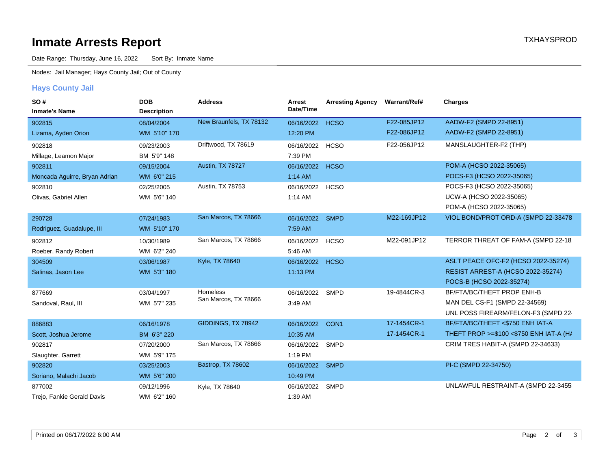# **Inmate Arrests Report TXHAYSPROD Inmate Arrests Report**

Date Range: Thursday, June 16, 2022 Sort By: Inmate Name

Nodes: Jail Manager; Hays County Jail; Out of County

### **Hays County Jail**

| SO#                           | <b>DOB</b>         | <b>Address</b>          | Arrest     | <b>Arresting Agency</b> | Warrant/Ref# | <b>Charges</b>                          |
|-------------------------------|--------------------|-------------------------|------------|-------------------------|--------------|-----------------------------------------|
| <b>Inmate's Name</b>          | <b>Description</b> |                         | Date/Time  |                         |              |                                         |
| 902815                        | 08/04/2004         | New Braunfels, TX 78132 | 06/16/2022 | <b>HCSO</b>             | F22-085JP12  | AADW-F2 (SMPD 22-8951)                  |
| Lizama, Ayden Orion           | WM 5'10" 170       |                         | 12:20 PM   |                         | F22-086JP12  | AADW-F2 (SMPD 22-8951)                  |
| 902818                        | 09/23/2003         | Driftwood, TX 78619     | 06/16/2022 | <b>HCSO</b>             | F22-056JP12  | MANSLAUGHTER-F2 (THP)                   |
| Millage, Leamon Major         | BM 5'9" 148        |                         | 7:39 PM    |                         |              |                                         |
| 902811                        | 09/15/2004         | Austin, TX 78727        | 06/16/2022 | <b>HCSO</b>             |              | POM-A (HCSO 2022-35065)                 |
| Moncada Aguirre, Bryan Adrian | WM 6'0" 215        |                         | 1:14 AM    |                         |              | POCS-F3 (HCSO 2022-35065)               |
| 902810                        | 02/25/2005         | Austin, TX 78753        | 06/16/2022 | <b>HCSO</b>             |              | POCS-F3 (HCSO 2022-35065)               |
| Olivas, Gabriel Allen         | WM 5'6" 140        |                         | 1:14 AM    |                         |              | UCW-A (HCSO 2022-35065)                 |
|                               |                    |                         |            |                         |              | POM-A (HCSO 2022-35065)                 |
| 290728                        | 07/24/1983         | San Marcos, TX 78666    | 06/16/2022 | <b>SMPD</b>             | M22-169JP12  | VIOL BOND/PROT ORD-A (SMPD 22-33478)    |
| Rodriguez, Guadalupe, III     | WM 5'10" 170       |                         | 7:59 AM    |                         |              |                                         |
| 902812                        | 10/30/1989         | San Marcos, TX 78666    | 06/16/2022 | <b>HCSO</b>             | M22-091JP12  | TERROR THREAT OF FAM-A (SMPD 22-18:     |
| Roeber, Randy Robert          | WM 6'2" 240        |                         | 5:46 AM    |                         |              |                                         |
| 304509                        | 03/06/1987         | Kyle, TX 78640          | 06/16/2022 | <b>HCSO</b>             |              | ASLT PEACE OFC-F2 (HCSO 2022-35274)     |
| Salinas, Jason Lee            | WM 5'3" 180        |                         | 11:13 PM   |                         |              | RESIST ARREST-A (HCSO 2022-35274)       |
|                               |                    |                         |            |                         |              | POCS-B (HCSO 2022-35274)                |
| 877669                        | 03/04/1997         | <b>Homeless</b>         | 06/16/2022 | <b>SMPD</b>             | 19-4844CR-3  | BF/FTA/BC/THEFT PROP ENH-B              |
| Sandoval, Raul, III           | WM 5'7" 235        | San Marcos, TX 78666    | 3:49 AM    |                         |              | MAN DEL CS-F1 (SMPD 22-34569)           |
|                               |                    |                         |            |                         |              | UNL POSS FIREARM/FELON-F3 (SMPD 22-     |
| 886883                        | 06/16/1978         | GIDDINGS, TX 78942      | 06/16/2022 | CON <sub>1</sub>        | 17-1454CR-1  | BF/FTA/BC/THEFT <\$750 ENH IAT-A        |
| Scott, Joshua Jerome          | BM 6'3" 220        |                         | 10:35 AM   |                         | 17-1454CR-1  | THEFT PROP >=\$100 <\$750 ENH IAT-A (H/ |
| 902817                        | 07/20/2000         | San Marcos, TX 78666    | 06/16/2022 | SMPD                    |              | CRIM TRES HABIT-A (SMPD 22-34633)       |
| Slaughter, Garrett            | WM 5'9" 175        |                         | 1:19 PM    |                         |              |                                         |
| 902820                        | 03/25/2003         | Bastrop, TX 78602       | 06/16/2022 | <b>SMPD</b>             |              | PI-C (SMPD 22-34750)                    |
| Soriano, Malachi Jacob        | WM 5'6" 200        |                         | 10:49 PM   |                         |              |                                         |
| 877002                        | 09/12/1996         | Kyle, TX 78640          | 06/16/2022 | <b>SMPD</b>             |              | UNLAWFUL RESTRAINT-A (SMPD 22-3455      |
| Trejo, Fankie Gerald Davis    | WM 6'2" 160        |                         | 1:39 AM    |                         |              |                                         |